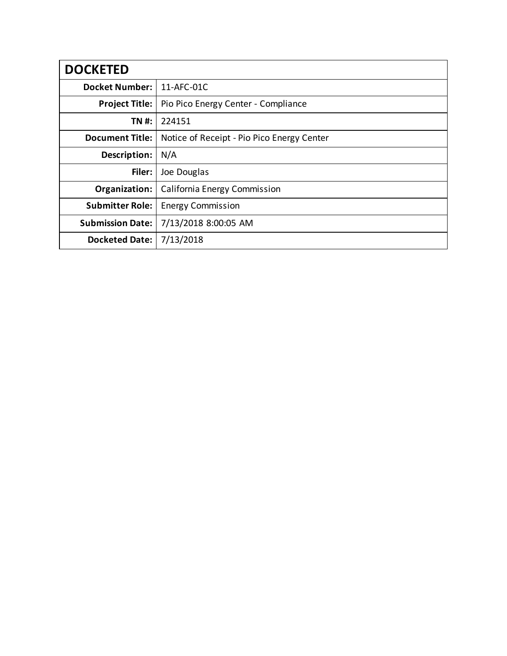| <b>DOCKETED</b>         |                                            |
|-------------------------|--------------------------------------------|
| <b>Docket Number:</b>   | 11-AFC-01C                                 |
| <b>Project Title:</b>   | Pio Pico Energy Center - Compliance        |
| TN #:                   | 224151                                     |
| <b>Document Title:</b>  | Notice of Receipt - Pio Pico Energy Center |
| Description:            | N/A                                        |
| Filer:                  | Joe Douglas                                |
| Organization:           | California Energy Commission               |
| <b>Submitter Role:</b>  | <b>Energy Commission</b>                   |
| <b>Submission Date:</b> | 7/13/2018 8:00:05 AM                       |
| <b>Docketed Date:</b>   | 7/13/2018                                  |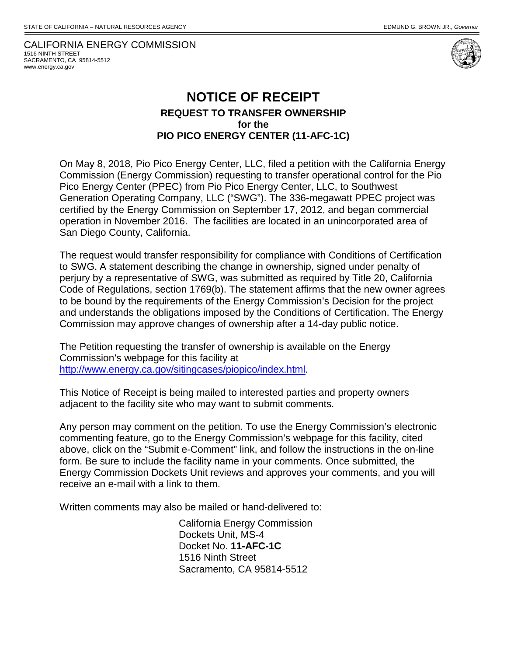CALIFORNIA ENERGY COMMISSION 1516 NINTH STREET SACRAMENTO, CA 95814-5512 www.energy.ca.gov



## **NOTICE OF RECEIPT REQUEST TO TRANSFER OWNERSHIP for the PIO PICO ENERGY CENTER (11-AFC-1C)**

On May 8, 2018, Pio Pico Energy Center, LLC, filed a petition with the California Energy Commission (Energy Commission) requesting to transfer operational control for the Pio Pico Energy Center (PPEC) from Pio Pico Energy Center, LLC, to Southwest Generation Operating Company, LLC ("SWG"). The 336-megawatt PPEC project was certified by the Energy Commission on September 17, 2012, and began commercial operation in November 2016. The facilities are located in an unincorporated area of San Diego County, California.

The request would transfer responsibility for compliance with Conditions of Certification to SWG. A statement describing the change in ownership, signed under penalty of perjury by a representative of SWG, was submitted as required by Title 20, California Code of Regulations, section 1769(b). The statement affirms that the new owner agrees to be bound by the requirements of the Energy Commission's Decision for the project and understands the obligations imposed by the Conditions of Certification. The Energy Commission may approve changes of ownership after a 14-day public notice.

The Petition requesting the transfer of ownership is available on the Energy Commission's webpage for this facility at [http://www.energy.ca.gov/sitingcases/piopico/index.html.](http://www.energy.ca.gov/sitingcases/piopico/index.html)

This Notice of Receipt is being mailed to interested parties and property owners adjacent to the facility site who may want to submit comments.

Any person may comment on the petition. To use the Energy Commission's electronic commenting feature, go to the Energy Commission's webpage for this facility, cited above, click on the "Submit e-Comment" link, and follow the instructions in the on-line form. Be sure to include the facility name in your comments. Once submitted, the Energy Commission Dockets Unit reviews and approves your comments, and you will receive an e‐mail with a link to them.

Written comments may also be mailed or hand-delivered to:

California Energy Commission Dockets Unit, MS-4 Docket No. **11-AFC-1C** 1516 Ninth Street Sacramento, CA 95814-5512